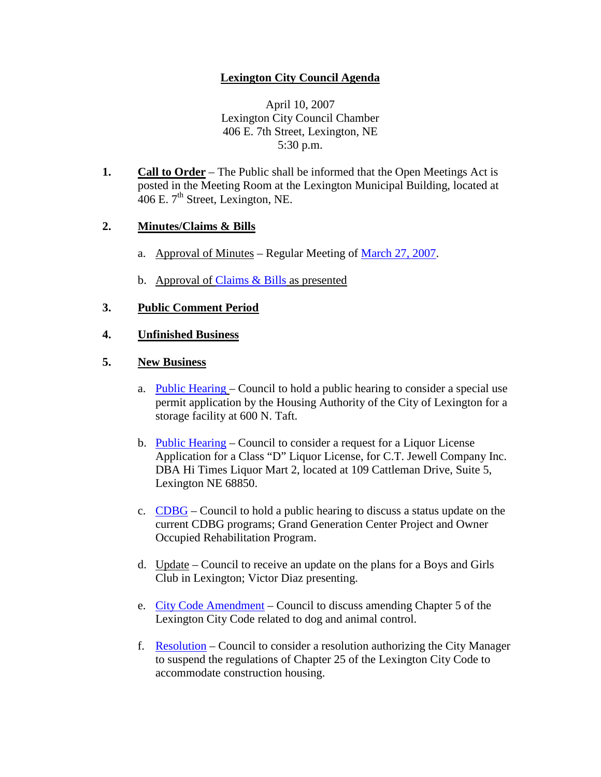# **Lexington City Council Agenda**

April 10, 2007 Lexington City Council Chamber 406 E. 7th Street, Lexington, NE 5:30 p.m.

**1. Call to Order** – The Public shall be informed that the Open Meetings Act is posted in the Meeting Room at the Lexington Municipal Building, located at 406 E.  $7<sup>th</sup>$  Street, Lexington, NE.

## **2. Minutes/Claims & Bills**

- a. Approval of Minutes Regular Meeting of [March 27, 2007.](http://info.cityoflex.com/ccdocs/Minutes/2007/March27.pdf)
- b. Approval of [Claims & Bills](http://info.cityoflex.com/ccdocs/Meeting/2007/April10/claims041007.pdf) as presented

## **3. Public Comment Period**

### **4. Unfinished Business**

#### **5. New Business**

- a. [Public Hearing](http://info.cityoflex.com/ccdocs/Meeting/2007/April10/5a041007.pdf) Council to hold a public hearing to consider a special use permit application by the Housing Authority of the City of Lexington for a storage facility at 600 N. Taft.
- b. [Public Hearing](http://info.cityoflex.com/ccdocs/Meeting/2007/April10/5b041007.pdf) Council to consider a request for a Liquor License Application for a Class "D" Liquor License, for C.T. Jewell Company Inc. DBA Hi Times Liquor Mart 2, located at 109 Cattleman Drive, Suite 5, Lexington NE 68850.
- c. [CDBG](http://info.cityoflex.com/ccdocs/Meeting/2007/April10/5c041007.pdf) Council to hold a public hearing to discuss a status update on the current CDBG programs; Grand Generation Center Project and Owner Occupied Rehabilitation Program.
- d. Update Council to receive an update on the plans for a Boys and Girls Club in Lexington; Victor Diaz presenting.
- e. [City Code Amendment](http://info.cityoflex.com/ccdocs/Meeting/2007/April10/5e041007.pdf) Council to discuss amending Chapter 5 of the Lexington City Code related to dog and animal control.
- f. [Resolution](http://info.cityoflex.com/ccdocs/Meeting/2007/April10/5f041007.pdf) Council to consider a resolution authorizing the City Manager to suspend the regulations of Chapter 25 of the Lexington City Code to accommodate construction housing.